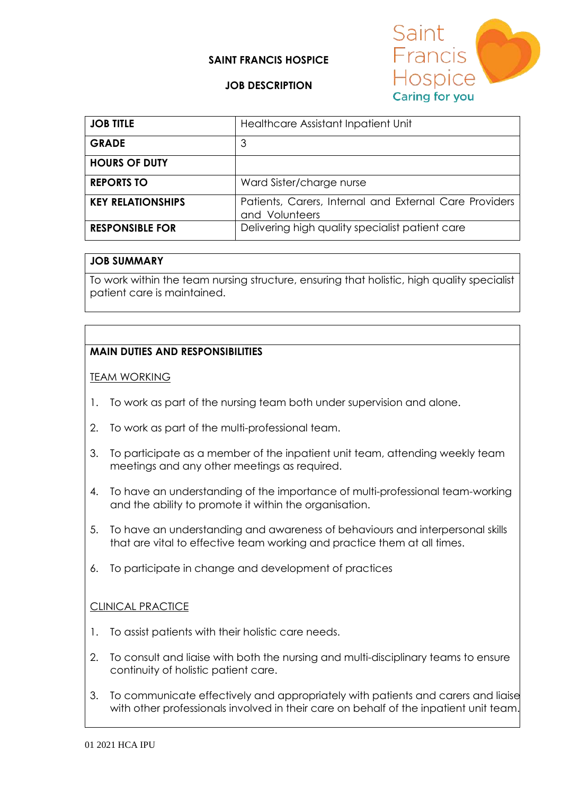### **SAINT FRANCIS HOSPICE**



### **JOB DESCRIPTION**

| <b>JOB TITLE</b>         | Healthcare Assistant Inpatient Unit                                      |
|--------------------------|--------------------------------------------------------------------------|
| <b>GRADE</b>             | 3                                                                        |
| <b>HOURS OF DUTY</b>     |                                                                          |
| <b>REPORTS TO</b>        | Ward Sister/charge nurse                                                 |
| <b>KEY RELATIONSHIPS</b> | Patients, Carers, Internal and External Care Providers<br>and Volunteers |
| <b>RESPONSIBLE FOR</b>   | Delivering high quality specialist patient care                          |

#### **JOB SUMMARY**

To work within the team nursing structure, ensuring that holistic, high quality specialist patient care is maintained.

### **MAIN DUTIES AND RESPONSIBILITIES**

TEAM WORKING

- 1. To work as part of the nursing team both under supervision and alone.
- 2. To work as part of the multi-professional team.
- 3. To participate as a member of the inpatient unit team, attending weekly team meetings and any other meetings as required.
- 4. To have an understanding of the importance of multi-professional team-working and the ability to promote it within the organisation.
- 5. To have an understanding and awareness of behaviours and interpersonal skills that are vital to effective team working and practice them at all times.
- 6. To participate in change and development of practices

### **CLINICAL PRACTICE**

- 1. To assist patients with their holistic care needs.
- 2. To consult and liaise with both the nursing and multi-disciplinary teams to ensure continuity of holistic patient care.
- 3. To communicate effectively and appropriately with patients and carers and liaise with other professionals involved in their care on behalf of the inpatient unit team.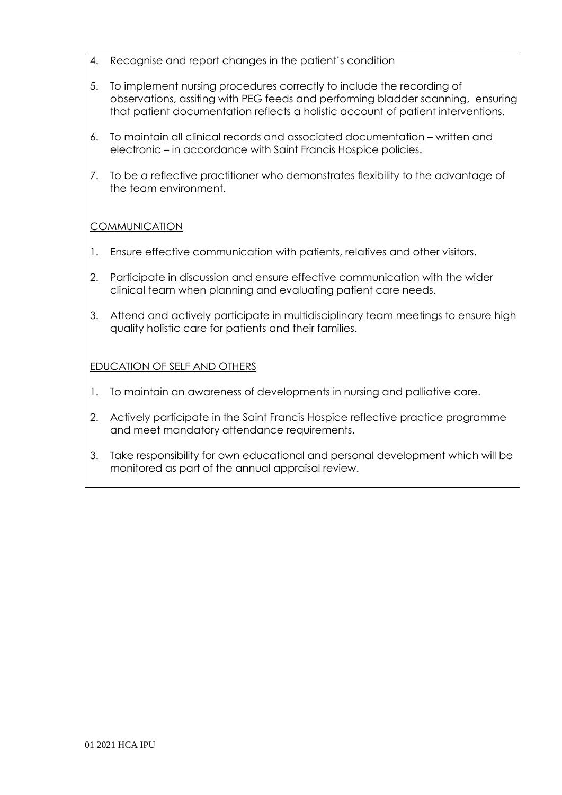- 4. Recognise and report changes in the patient's condition
- 5. To implement nursing procedures correctly to include the recording of observations, assiting with PEG feeds and performing bladder scanning, ensuring that patient documentation reflects a holistic account of patient interventions.
- 6. To maintain all clinical records and associated documentation written and electronic – in accordance with Saint Francis Hospice policies.
- 7. To be a reflective practitioner who demonstrates flexibility to the advantage of the team environment.

# **COMMUNICATION**

- 1. Ensure effective communication with patients, relatives and other visitors.
- 2. Participate in discussion and ensure effective communication with the wider clinical team when planning and evaluating patient care needs.
- 3. Attend and actively participate in multidisciplinary team meetings to ensure high quality holistic care for patients and their families.

## EDUCATION OF SELF AND OTHERS

- 1. To maintain an awareness of developments in nursing and palliative care.
- 2. Actively participate in the Saint Francis Hospice reflective practice programme and meet mandatory attendance requirements.
- 3. Take responsibility for own educational and personal development which will be monitored as part of the annual appraisal review.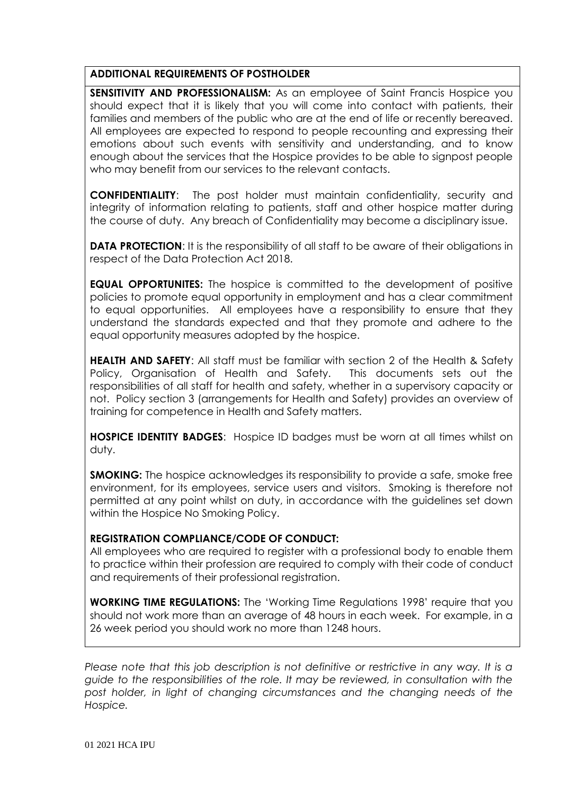### **ADDITIONAL REQUIREMENTS OF POSTHOLDER**

**SENSITIVITY AND PROFESSIONALISM:** As an employee of Saint Francis Hospice you should expect that it is likely that you will come into contact with patients, their families and members of the public who are at the end of life or recently bereaved. All employees are expected to respond to people recounting and expressing their emotions about such events with sensitivity and understanding, and to know enough about the services that the Hospice provides to be able to signpost people who may benefit from our services to the relevant contacts.

**CONFIDENTIALITY**: The post holder must maintain confidentiality, security and integrity of information relating to patients, staff and other hospice matter during the course of duty. Any breach of Confidentiality may become a disciplinary issue.

**DATA PROTECTION:** It is the responsibility of all staff to be aware of their obligations in respect of the Data Protection Act 2018.

**EQUAL OPPORTUNITES:** The hospice is committed to the development of positive policies to promote equal opportunity in employment and has a clear commitment to equal opportunities. All employees have a responsibility to ensure that they understand the standards expected and that they promote and adhere to the equal opportunity measures adopted by the hospice.

**HEALTH AND SAFETY**: All staff must be familiar with section 2 of the Health & Safety Policy, Organisation of Health and Safety. This documents sets out the responsibilities of all staff for health and safety, whether in a supervisory capacity or not. Policy section 3 (arrangements for Health and Safety) provides an overview of training for competence in Health and Safety matters.

**HOSPICE IDENTITY BADGES**: Hospice ID badges must be worn at all times whilst on duty.

**SMOKING:** The hospice acknowledges its responsibility to provide a safe, smoke free environment, for its employees, service users and visitors. Smoking is therefore not permitted at any point whilst on duty, in accordance with the guidelines set down within the Hospice No Smoking Policy.

## **REGISTRATION COMPLIANCE/CODE OF CONDUCT:**

All employees who are required to register with a professional body to enable them to practice within their profession are required to comply with their code of conduct and requirements of their professional registration.

**WORKING TIME REGULATIONS:** The 'Working Time Regulations 1998' require that you should not work more than an average of 48 hours in each week. For example, in a 26 week period you should work no more than 1248 hours.

*Please note that this job description is not definitive or restrictive in any way. It is a guide to the responsibilities of the role. It may be reviewed, in consultation with the*  post holder, in light of changing circumstances and the changing needs of the *Hospice.*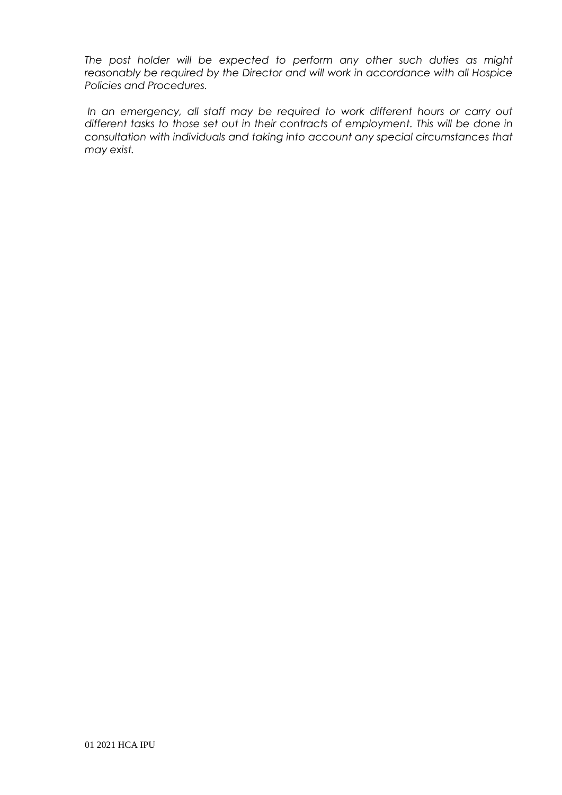*The post holder will be expected to perform any other such duties as might reasonably be required by the Director and will work in accordance with all Hospice Policies and Procedures.*

In an emergency, all staff may be required to work different hours or carry out *different tasks to those set out in their contracts of employment. This will be done in consultation with individuals and taking into account any special circumstances that may exist.*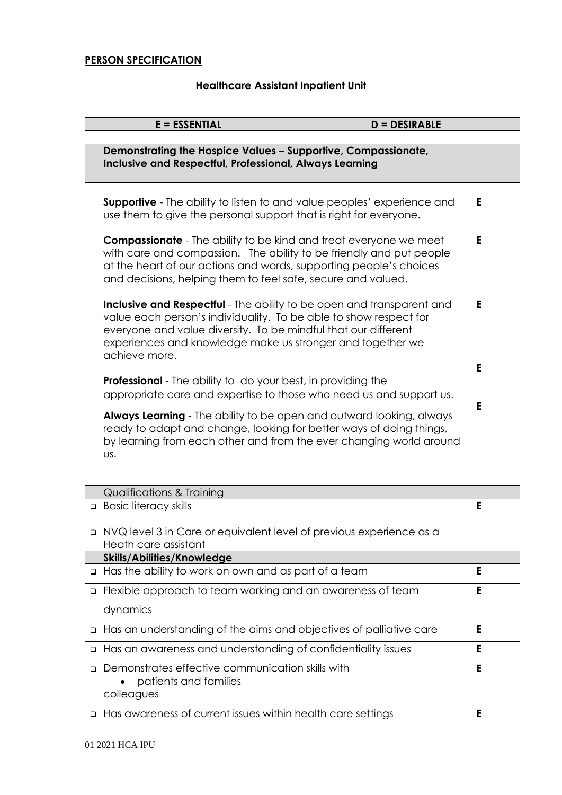# **PERSON SPECIFICATION**

# **Healthcare Assistant Inpatient Unit**

|        | <b>E = ESSENTIAL</b><br><b>D = DESIRABLE</b>                                                                                                                                                                                                                                                |        |  |  |
|--------|---------------------------------------------------------------------------------------------------------------------------------------------------------------------------------------------------------------------------------------------------------------------------------------------|--------|--|--|
|        | Demonstrating the Hospice Values - Supportive, Compassionate,<br>Inclusive and Respectful, Professional, Always Learning                                                                                                                                                                    |        |  |  |
|        | <b>Supportive</b> - The ability to listen to and value peoples' experience and<br>use them to give the personal support that is right for everyone.                                                                                                                                         | E.     |  |  |
|        | <b>Compassionate</b> - The ability to be kind and treat everyone we meet<br>with care and compassion. The ability to be friendly and put people<br>at the heart of our actions and words, supporting people's choices<br>and decisions, helping them to feel safe, secure and valued.       |        |  |  |
|        | Inclusive and Respectful - The ability to be open and transparent and<br>value each person's individuality. To be able to show respect for<br>everyone and value diversity. To be mindful that our different<br>experiences and knowledge make us stronger and together we<br>achieve more. |        |  |  |
|        | <b>Professional</b> - The ability to do your best, in providing the<br>appropriate care and expertise to those who need us and support us.                                                                                                                                                  | E<br>E |  |  |
|        | Always Learning - The ability to be open and outward looking, always<br>ready to adapt and change, looking for better ways of doing things,<br>by learning from each other and from the ever changing world around<br>US.                                                                   |        |  |  |
|        | <b>Qualifications &amp; Training</b>                                                                                                                                                                                                                                                        |        |  |  |
|        | <b>Basic literacy skills</b>                                                                                                                                                                                                                                                                | E.     |  |  |
|        | n NVQ level 3 in Care or equivalent level of previous experience as a<br>Heath care assistant                                                                                                                                                                                               |        |  |  |
|        | <b>Skills/Abilities/Knowledge</b>                                                                                                                                                                                                                                                           |        |  |  |
| ❏      | Has the ability to work on own and as part of a team                                                                                                                                                                                                                                        | Е      |  |  |
| ❏      | Flexible approach to team working and an awareness of team                                                                                                                                                                                                                                  | E      |  |  |
|        | dynamics                                                                                                                                                                                                                                                                                    |        |  |  |
| ❏      | Has an understanding of the aims and objectives of palliative care                                                                                                                                                                                                                          | E      |  |  |
| $\Box$ | Has an awareness and understanding of confidentiality issues                                                                                                                                                                                                                                | Е      |  |  |
| $\Box$ | Demonstrates effective communication skills with<br>patients and families<br>colleagues                                                                                                                                                                                                     | E      |  |  |
|        | □ Has awareness of current issues within health care settings                                                                                                                                                                                                                               | E      |  |  |